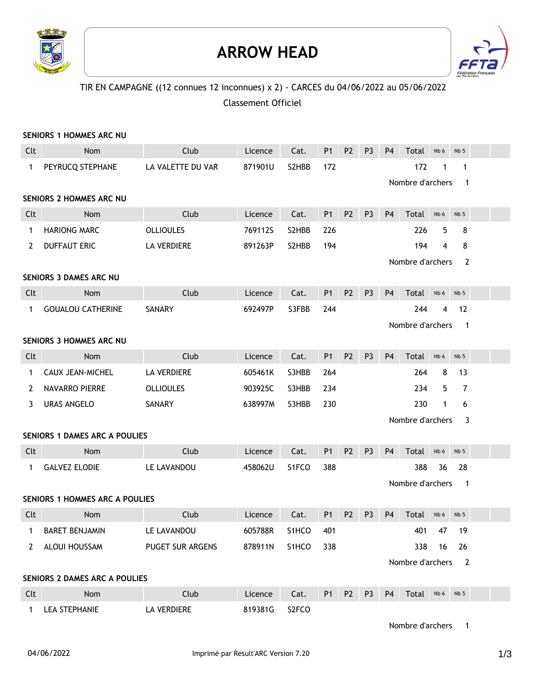

### **ARROW HEAD**



#### TIR EN CAMPAGNE ((12 connues 12 inconnues) x 2) - CARCES du 04/06/2022 au 05/06/2022

Classement Officiel

|              | <b>SENIORS 1 HOMMES ARC NU</b>        |                         |         |       |           |                |                |                |                         |              |                             |  |
|--------------|---------------------------------------|-------------------------|---------|-------|-----------|----------------|----------------|----------------|-------------------------|--------------|-----------------------------|--|
| Clt          | Nom                                   | Club                    | Licence | Cat.  | <b>P1</b> | P <sub>2</sub> | P <sub>3</sub> | P <sub>4</sub> | Total                   | Nb 6         | Nb <sub>5</sub>             |  |
| $\mathbf 1$  | PEYRUCQ STEPHANE                      | LA VALETTE DU VAR       | 871901U | S2HBB | 172       |                |                |                | 172<br>Nombre d'archers |              | $\mathbf 1$<br>$\mathbf{1}$ |  |
|              | <b>SENIORS 2 HOMMES ARC NU</b>        |                         |         |       |           |                |                |                |                         |              |                             |  |
| Clt          | Nom                                   | Club                    | Licence | Cat.  | <b>P1</b> | <b>P2</b>      | P <sub>3</sub> | P <sub>4</sub> | Total                   | Nb 6         | Nb <sub>5</sub>             |  |
| 1            | <b>HARIONG MARC</b>                   | <b>OLLIOULES</b>        | 769112S | S2HBB | 226       |                |                |                | 226                     | 5            | 8                           |  |
| 2            | <b>DUFFAUT ERIC</b>                   | LA VERDIERE             | 891263P | S2HBB | 194       |                |                |                | 194                     | 4            | 8                           |  |
|              |                                       |                         |         |       |           |                |                |                | Nombre d'archers        |              | $\overline{2}$              |  |
|              | <b>SENIORS 3 DAMES ARC NU</b>         |                         |         |       |           |                |                |                |                         |              |                             |  |
| Clt          | Nom                                   | Club                    | Licence | Cat.  | <b>P1</b> | <b>P2</b>      | P <sub>3</sub> | <b>P4</b>      | Total                   | Nb 6         | Nb <sub>5</sub>             |  |
| 1            | <b>GOUALOU CATHERINE</b>              | SANARY                  | 692497P | S3FBB | 244       |                |                |                | 244                     | 4            | 12                          |  |
|              |                                       |                         |         |       |           |                |                |                | Nombre d'archers        |              | $\mathbf{1}$                |  |
|              | SENIORS 3 HOMMES ARC NU               |                         |         |       |           |                |                |                |                         |              |                             |  |
| Clt          | Nom                                   | Club                    | Licence | Cat.  | <b>P1</b> | P <sub>2</sub> | P <sub>3</sub> | P <sub>4</sub> | Total                   | Nb 6         | Nb <sub>5</sub>             |  |
| 1            | CAUX JEAN-MICHEL                      | <b>LA VERDIERE</b>      | 605461K | S3HBB | 264       |                |                |                | 264                     | 8            | 13                          |  |
| 2            | <b>NAVARRO PIERRE</b>                 | <b>OLLIOULES</b>        | 903925C | S3HBB | 234       |                |                |                | 234                     | 5            | $\overline{7}$              |  |
| 3            | <b>URAS ANGELO</b>                    | SANARY                  | 638997M | S3HBB | 230       |                |                |                | 230                     | $\mathbf{1}$ | 6                           |  |
|              |                                       |                         |         |       |           |                |                |                | Nombre d'archers        |              | 3                           |  |
|              | <b>SENIORS 1 DAMES ARC A POULIES</b>  |                         |         |       |           |                |                |                |                         |              |                             |  |
| Clt          | Nom                                   | Club                    | Licence | Cat.  | <b>P1</b> | <b>P2</b>      | P <sub>3</sub> | P <sub>4</sub> | Total                   | Nb 6         | Nb <sub>5</sub>             |  |
| 1            | <b>GALVEZ ELODIE</b>                  | LE LAVANDOU             | 458062U | S1FCO | 388       |                |                |                | 388                     | 36           | 28                          |  |
|              |                                       |                         |         |       |           |                |                |                | Nombre d'archers        |              | $\overline{\phantom{1}}$    |  |
|              | <b>SENIORS 1 HOMMES ARC A POULIES</b> |                         |         |       |           |                |                |                |                         |              |                             |  |
| Clt          | Nom                                   | Club                    | Licence | Cat.  | <b>P1</b> | P <sub>2</sub> | P <sub>3</sub> | <b>P4</b>      | Total                   | Nb 6         | Nb <sub>5</sub>             |  |
| $\mathbf{1}$ | <b>BARET BENJAMIN</b>                 | LE LAVANDOU             | 605788R | S1HCO | 401       |                |                |                | 401                     | - 47         | 19                          |  |
|              | 2 ALOUI HOUSSAM                       | <b>PUGET SUR ARGENS</b> | 878911N | S1HCO | 338       |                |                |                | 338                     | 16           | 26                          |  |
|              |                                       |                         |         |       |           |                |                |                | Nombre d'archers 2      |              |                             |  |
|              | SENIORS 2 DAMES ARC A POULIES         |                         |         |       |           |                |                |                |                         |              |                             |  |
| Clt          | Nom                                   | Club                    | Licence | Cat.  |           | P1 P2          | P <sub>3</sub> | P <sub>4</sub> | Total Nb6 Nb5           |              |                             |  |
| $\mathbf{1}$ | LEA STEPHANIE                         | LA VERDIERE             | 819381G | S2FCO |           |                |                |                |                         |              |                             |  |

Nombre d'archers 1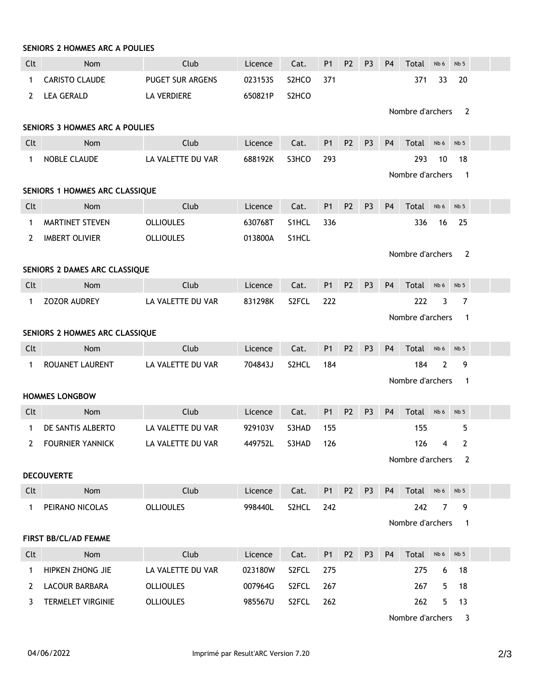|                       | <b>SENIORS 2 HOMMES ARC A POULIES</b> |                   |         |       |                |                |                |                |                  |                 |                         |  |
|-----------------------|---------------------------------------|-------------------|---------|-------|----------------|----------------|----------------|----------------|------------------|-----------------|-------------------------|--|
| Clt                   | Nom                                   | Club              | Licence | Cat.  | P1             | P <sub>2</sub> | P <sub>3</sub> | P <sub>4</sub> | Total            | Nb 6            | Nb <sub>5</sub>         |  |
| 1                     | <b>CARISTO CLAUDE</b>                 | PUGET SUR ARGENS  | 0231535 | S2HCO | 371            |                |                |                | 371              | 33              | 20                      |  |
| 2                     | <b>LEA GERALD</b>                     | LA VERDIERE       | 650821P | S2HCO |                |                |                |                | Nombre d'archers |                 | 2                       |  |
|                       | <b>SENIORS 3 HOMMES ARC A POULIES</b> |                   |         |       |                |                |                |                |                  |                 |                         |  |
| Clt                   | Nom                                   | Club              | Licence | Cat.  | <b>P1</b>      | P <sub>2</sub> | P <sub>3</sub> | <b>P4</b>      | Total            | Nb 6            | Nb <sub>5</sub>         |  |
| $\mathbf{1}$          | <b>NOBLE CLAUDE</b>                   | LA VALETTE DU VAR | 688192K | S3HCO | 293            |                |                |                | 293              | 10              | 18                      |  |
|                       |                                       |                   |         |       |                |                |                |                | Nombre d'archers |                 | $\overline{\mathbf{1}}$ |  |
|                       | SENIORS 1 HOMMES ARC CLASSIQUE        |                   |         |       |                |                |                |                |                  |                 |                         |  |
| Clt                   | Nom                                   | Club              | Licence | Cat.  | P <sub>1</sub> | P <sub>2</sub> | P <sub>3</sub> | <b>P4</b>      | Total            | Nb 6            | Nb <sub>5</sub>         |  |
| 1                     | MARTINET STEVEN                       | <b>OLLIOULES</b>  | 630768T | S1HCL | 336            |                |                |                | 336              | 16              | 25                      |  |
| $\mathbf{2}^{\prime}$ | <b>IMBERT OLIVIER</b>                 | <b>OLLIOULES</b>  | 013800A | S1HCL |                |                |                |                |                  |                 |                         |  |
|                       |                                       |                   |         |       |                |                |                |                | Nombre d'archers |                 | 2                       |  |
|                       | SENIORS 2 DAMES ARC CLASSIQUE         |                   |         |       |                |                |                |                |                  |                 |                         |  |
| Clt                   | Nom                                   | Club              | Licence | Cat.  | P <sub>1</sub> | P <sub>2</sub> | P <sub>3</sub> | P <sub>4</sub> | Total            | Nb 6            | Nb <sub>5</sub>         |  |
| $\mathbf 1$           | ZOZOR AUDREY                          | LA VALETTE DU VAR | 831298K | S2FCL | 222            |                |                |                | 222              | 3               | $\overline{7}$          |  |
|                       |                                       |                   |         |       |                |                |                |                | Nombre d'archers |                 | $\mathbf 1$             |  |
|                       | SENIORS 2 HOMMES ARC CLASSIQUE        |                   |         |       |                |                |                |                |                  |                 |                         |  |
| Clt                   | Nom                                   | Club              | Licence | Cat.  | P <sub>1</sub> | P <sub>2</sub> | P <sub>3</sub> | <b>P4</b>      | Total            | Nb 6            | Nb <sub>5</sub>         |  |
| $\mathbf 1$           | ROUANET LAURENT                       | LA VALETTE DU VAR | 704843J | S2HCL | 184            |                |                |                | 184              | $\overline{2}$  | 9                       |  |
|                       |                                       |                   |         |       |                |                |                |                | Nombre d'archers |                 | $\overline{1}$          |  |
|                       | <b>HOMMES LONGBOW</b>                 |                   |         |       |                |                |                |                |                  |                 |                         |  |
| Clt                   | Nom                                   | Club              | Licence | Cat.  | P1             | P <sub>2</sub> | P <sub>3</sub> | <b>P4</b>      | Total            | Nb 6            | Nb <sub>5</sub>         |  |
| $\mathbf 1$           | DE SANTIS ALBERTO                     | LA VALETTE DU VAR | 929103V | S3HAD | 155            |                |                |                | 155              |                 | 5                       |  |
| 2                     | <b>FOURNIER YANNICK</b>               | LA VALETTE DU VAR | 449752L | S3HAD | 126            |                |                |                |                  | $126 \t 4 \t 2$ |                         |  |
|                       |                                       |                   |         |       |                |                |                |                | Nombre d'archers |                 | - 2                     |  |
|                       | <b>DECOUVERTE</b>                     |                   |         |       |                |                |                |                |                  |                 |                         |  |
| Clt                   | Nom                                   | Club              | Licence | Cat.  | P1             | <b>P2</b>      | P3             | <b>P4</b>      | Total Nb6 Nb5    |                 |                         |  |
|                       | 1 PEIRANO NICOLAS                     | <b>OLLIOULES</b>  | 998440L | S2HCL | 242            |                |                |                | 242              | 7               | 9                       |  |
|                       |                                       |                   |         |       |                |                |                |                | Nombre d'archers |                 | $\overline{1}$          |  |
|                       | FIRST BB/CL/AD FEMME                  |                   |         |       |                |                |                |                |                  |                 |                         |  |
| Clt                   | Nom                                   | Club              | Licence | Cat.  | <b>P1</b>      | P <sub>2</sub> | P <sub>3</sub> | P <sub>4</sub> | Total            | Nb 6            | Nb <sub>5</sub>         |  |
| $\mathbf{1}$          | HIPKEN ZHONG JIE                      | LA VALETTE DU VAR | 023180W | S2FCL | 275            |                |                |                | 275              | 6               | 18                      |  |
| 2                     | LACOUR BARBARA                        | OLLIOULES         | 007964G | S2FCL | 267            |                |                |                | 267              | 5               | 18                      |  |
| 3                     | TERMELET VIRGINIE                     | <b>OLLIOULES</b>  | 985567U | S2FCL | 262            |                |                |                | 262              | 5               | 13                      |  |
|                       |                                       |                   |         |       |                |                |                |                | Nombre d'archers |                 | $\overline{\mathbf{3}}$ |  |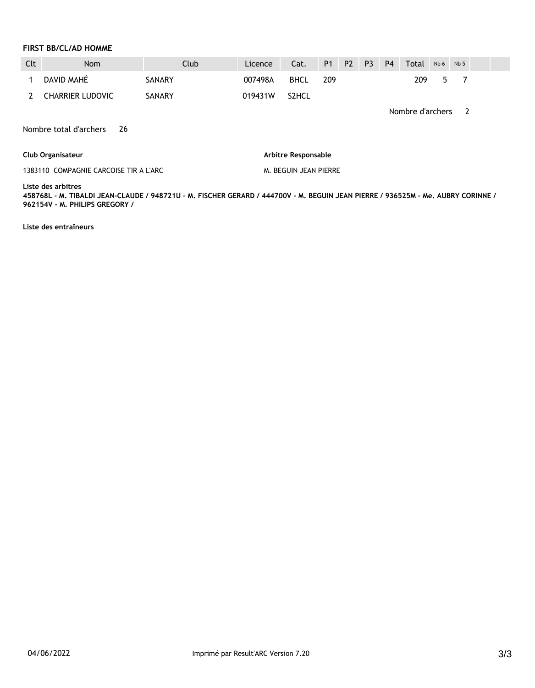#### **FIRST BB/CL/AD HOMME**

| Clt | <b>Nom</b>              | Club   | Licence | Cat.               | P <sub>1</sub> | <b>P2</b> | <b>P3</b> | <b>P4</b> | Total | Nb <sub>6</sub> | Nb <sub>5</sub> |  |
|-----|-------------------------|--------|---------|--------------------|----------------|-----------|-----------|-----------|-------|-----------------|-----------------|--|
|     | DAVID MAHÉ              | SANARY | 007498A | <b>BHCL</b>        | 209            |           |           |           | 209   | -5              |                 |  |
|     | <b>CHARRIER LUDOVIC</b> | SANARY | 019431W | S <sub>2</sub> HCL |                |           |           |           |       |                 |                 |  |

Nombre d'archers 2

Nombre total d'archers 26

#### **Club Organisateur**

1383110 COMPAGNIE CARCOISE TIR A L'ARC

**Arbitre Responsable** 

M. BEGUIN JEAN PIERRE

#### **Liste des arbitres**

**458768L - M. TIBALDI JEAN-CLAUDE / 948721U - M. FISCHER GERARD / 444700V - M. BEGUIN JEAN PIERRE / 936525M - Me. AUBRY CORINNE / 962154V - M. PHILIPS GREGORY /** 

**Liste des entraîneurs**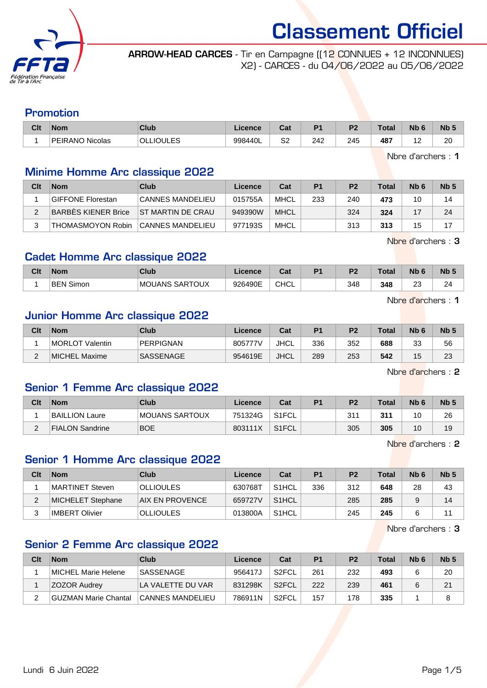

ARROW-HEAD CARCES - Tir en Campagne ((12 CONNUES + 12 INCONNUES) X2) - CARCES - du 04/06/2022 au 05/06/2022

#### Promotion

| Clt | <b>Nom</b>             | <b>Club</b>                       | Licence | <b>That</b><br>Jai | D4  | D <sub>2</sub> | Total | <b>Nb</b> | <b>Nb</b> |
|-----|------------------------|-----------------------------------|---------|--------------------|-----|----------------|-------|-----------|-----------|
|     | <b>PEIRANO Nicolas</b> | $\overline{c}$<br>OLLI<br>- -<br> | 998440L | Q0<br>ےت           | 242 | 245            | 487   |           | ററ<br>∠∪  |

Nbre d'archers : 1

#### Minime Homme Arc classique 2022

| Clt | <b>Nom</b>               | Club                    | Licence | Cat         | P <sub>1</sub> | P <sub>2</sub> | Total | N <sub>b</sub> 6 | Nb <sub>5</sub> |
|-----|--------------------------|-------------------------|---------|-------------|----------------|----------------|-------|------------------|-----------------|
|     | <b>GIFFONE Florestan</b> | <b>CANNES MANDELIEU</b> | 015755A | MHCL        | 233            | 240            | 473   | 10               | 14              |
|     | BARBES KIENER Brice      | IST MARTIN DE CRAU      | 949390W | <b>MHCL</b> |                | 324            | 324   |                  | 24              |
|     | THOMASMOYON Robin        | <b>CANNES MANDELIEU</b> | 977193S | MHCL        |                | 313            | 313   | 15               | 17              |

Nbre d'archers : 3

#### Cadet Homme Arc classique 2022

| Clt | <b>Nom</b>          | Club           | <b>Licence</b> | <b>Cat</b><br>udl | D <sub>4</sub> | D <sub>0</sub> | <b>Total</b> | Nb 6         | <b>N<sub>b</sub></b> |
|-----|---------------------|----------------|----------------|-------------------|----------------|----------------|--------------|--------------|----------------------|
|     | Simon<br><b>BEN</b> | MOUANS SARTOUX | 926490E        | <b>CHCL</b>       |                | 348            | 348          | $\sim$<br>Ζu | $\sim$<br>~          |

Nbre d'archers : 1

#### Junior Homme Arc classique 2022

| Clt | <b>Nom</b>          | Club             | Licence | Cat         | D <sub>1</sub> | P <sub>2</sub> | <b>Total</b> | Nb <sub>6</sub> | N <sub>b</sub> <sub>5</sub> |
|-----|---------------------|------------------|---------|-------------|----------------|----------------|--------------|-----------------|-----------------------------|
|     | ⊩MORLOT<br>Valentin | <b>PERPIGNAN</b> | 805777V | JHCL        | 336            | 352            | 688          | วว<br>نٽ        | 56                          |
|     | MICHEL Maxime       | <b>SASSENAGE</b> | 954619E | <b>JHCL</b> | 289            | 253            | 542          | 1F<br>ں ו       | 23                          |

Nbre d'archers : 2

#### Senior 1 Femme Arc classique 2022

| Clt      | <b>Nom</b>             | Club           | Licence | Cat                | <b>P1</b> | P <sub>2</sub> | <b>Total</b> | N <sub>b</sub> <sub>6</sub> | Nb <sub>5</sub> |
|----------|------------------------|----------------|---------|--------------------|-----------|----------------|--------------|-----------------------------|-----------------|
|          | <b>BAILLION Laure</b>  | MOUANS SARTOUX | 751324G | S <sub>1</sub> FCL |           | 311            | 311          | 10                          | 26              |
| <u>.</u> | <b>FIALON Sandrine</b> | <b>BOE</b>     | 803111X | S <sub>1</sub> FCL |           | 305            | 305          | 10                          | 19              |

Nbre d'archers : 2

#### Senior 1 Homme Arc classique 2022

| Clt | <b>Nom</b>        | Club                   | Licence | Cat                | P1  | P <sub>2</sub> | Total | N <sub>b</sub> 6 | Nb <sub>5</sub> |
|-----|-------------------|------------------------|---------|--------------------|-----|----------------|-------|------------------|-----------------|
|     | MARTINET Steven   | <b>OLLIOULES</b>       | 630768T | S <sub>1</sub> HCL | 336 | 312            | 648   | 28               | 43              |
| ∠   | MICHELET Stephane | <b>AIX EN PROVENCE</b> | 659727V | S1HCL              |     | 285            | 285   |                  | 14              |
|     | IMBERT Olivier    | <b>OLLIOULES</b>       | 013800A | S <sub>1</sub> HCL |     | 245            | 245   |                  | 11              |

Nbre d'archers : 3

#### Senior 2 Femme Arc classique 2022

| Clt | <b>Nom</b>           | Club              | Licence | Cat                | P <sub>1</sub> | P <sub>2</sub> | <b>Total</b> | Nb <sub>6</sub> | Nb <sub>5</sub> |
|-----|----------------------|-------------------|---------|--------------------|----------------|----------------|--------------|-----------------|-----------------|
|     | MICHEL Marie Helene  | <b>SASSENAGE</b>  | 956417J | S <sub>2</sub> FCL | 261            | 232            | 493          |                 | 20              |
|     | <b>ZOZOR Audrey</b>  | LA VALETTE DU VAR | 831298K | S <sub>2</sub> FCL | 222            | 239            | 461          | 6               | 21              |
| _   | GUZMAN Marie Chantal | CANNES MANDELIEU  | 786911N | S <sub>2</sub> FCL | 157            | 178            | 335          |                 |                 |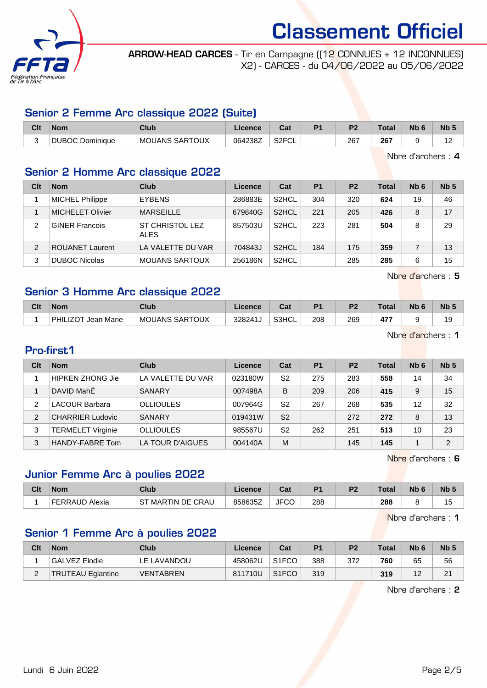

ARROW-HEAD CARCES - Tir en Campagne ((12 CONNUES + 12 INCONNUES) X2) - CARCES - du 04/06/2022 au 05/06/2022

#### Senior 2 Femme Arc classique 2022 (Suite)

| Clt | Nom                          | Club                  | .icence | ⊍a                       | D <sub>1</sub> | D <sub>2</sub> | Total         | <b>Nb</b> | Nb <sub>5</sub> |
|-----|------------------------------|-----------------------|---------|--------------------------|----------------|----------------|---------------|-----------|-----------------|
| ື   | <b>DUBOC Do</b><br>Dominique | <b>MOUANS SARTOUX</b> | 064238Z | S <sub>2</sub> FCL<br>◡∟ |                | 267            | 267<br>$\sim$ |           | . .             |

Nbre d'archers : 4

#### Senior 2 Homme Arc classique 2022

| Clt | <b>Nom</b>              | Club                                  | Licence | Cat                | P <sub>1</sub> | P <sub>2</sub> | <b>Total</b> | Nb <sub>6</sub> | Nb <sub>5</sub> |
|-----|-------------------------|---------------------------------------|---------|--------------------|----------------|----------------|--------------|-----------------|-----------------|
|     | <b>MICHEL Philippe</b>  | <b>EYBENS</b>                         | 286883E | S <sub>2</sub> HCL | 304            | 320            | 624          | 19              | 46              |
|     | <b>MICHELET Olivier</b> | <b>MARSEILLE</b>                      | 679840G | S <sub>2</sub> HCL | 221            | 205            | 426          | 8               | 17              |
| 2   | <b>GINER Francois</b>   | <b>ST CHRISTOL LEZ</b><br><b>ALES</b> | 857503U | S <sub>2</sub> HCL | 223            | 281            | 504          | 8               | 29              |
| 2   | <b>ROUANET Laurent</b>  | LA VALETTE DU VAR                     | 704843J | S <sub>2</sub> HCL | 184            | 175            | 359          |                 | 13              |
| 3   | DUBOC Nicolas           | <b>MOUANS SARTOUX</b>                 | 256186N | S <sub>2</sub> HCL |                | 285            | 285          | 6               | 15              |

Nbre d'archers : 5

#### Senior 3 Homme Arc classique 2022

| Clt | <b>Nom</b>                    | <b>Club</b>    | Licence | ⊶ ∼<br>ua | D <sub>1</sub> | D <sub>2</sub> | <b>Total</b> | <b>N<sub>b</sub></b> | Nb <sub>5</sub> |
|-----|-------------------------------|----------------|---------|-----------|----------------|----------------|--------------|----------------------|-----------------|
|     | PHILIZOT<br><b>Jean Marie</b> | MOUANS SARTOUX | 328241J | S3HCL     | 208            | 269            | 47           |                      | 19              |

Nbre d'archers : 1

#### Pro-first1

| Clt            | <b>Nom</b>               | Club              | Licence | Cat            | <b>P1</b> | P <sub>2</sub> | Total | N <sub>b</sub> 6 | Nb <sub>5</sub> |
|----------------|--------------------------|-------------------|---------|----------------|-----------|----------------|-------|------------------|-----------------|
|                | <b>HIPKEN ZHONG Jie</b>  | LA VALETTE DU VAR | 023180W | S2             | 275       | 283            | 558   | 14               | 34              |
|                | DAVID MahÉ               | <b>SANARY</b>     | 007498A | B              | 209       | 206            | 415   | 9                | 15              |
| 2              | <b>LACOUR Barbara</b>    | <b>OLLIOULES</b>  | 007964G | S2             | 267       | 268            | 535   | 12               | 32              |
| $\overline{2}$ | <b>CHARRIER Ludovic</b>  | <b>SANARY</b>     | 019431W | S <sub>2</sub> |           | 272            | 272   | 8                | 13              |
| 3              | <b>TERMELET Virginie</b> | <b>OLLIOULES</b>  | 985567U | S2             | 262       | 251            | 513   | 10               | 23              |
| 3              | HANDY-FABRE Tom          | LA TOUR D'AIGUES  | 004140A | M              |           | 145            | 145   |                  | $\mathfrak{p}$  |

Nbre d'archers : 6

### Junior Femme Arc à poulies 2022

| Clt | <b>Nom</b>     | Club                 | Licence | <b>Dol</b><br>⊍a | D <sub>4</sub> | ng. | Total | <b>Nb</b> | N <sub>b</sub> 5 |
|-----|----------------|----------------------|---------|------------------|----------------|-----|-------|-----------|------------------|
|     | FERRAUD Alexia | MARTIN DE CRAU<br>SТ | 858635Z | מחו<br>∵⊤ل<br>∪∪ | 288            |     | 288   |           | ∪ו               |

Nbre d'archers : 1

#### Senior 1 Femme Arc à poulies 2022

| Clt      | <b>Nom</b>               | Club             | Licence | Cat                | P <sub>1</sub> | P <sub>2</sub> | <b>Total</b> | N <sub>b</sub> 6 | Nb <sub>5</sub> |
|----------|--------------------------|------------------|---------|--------------------|----------------|----------------|--------------|------------------|-----------------|
|          | GALVEZ Elodie            | LE LAVANDOU      | 458062U | S <sub>1</sub> FCO | 388            | 372            | 760          | 65               | 56              |
| <u>.</u> | <b>TRUTEAU Eglantine</b> | <b>VENTABREN</b> | 811710U | S <sub>1</sub> FCO | 319            |                | 319          | $\sqrt{2}$       | 21              |

Nbre d'archers : 2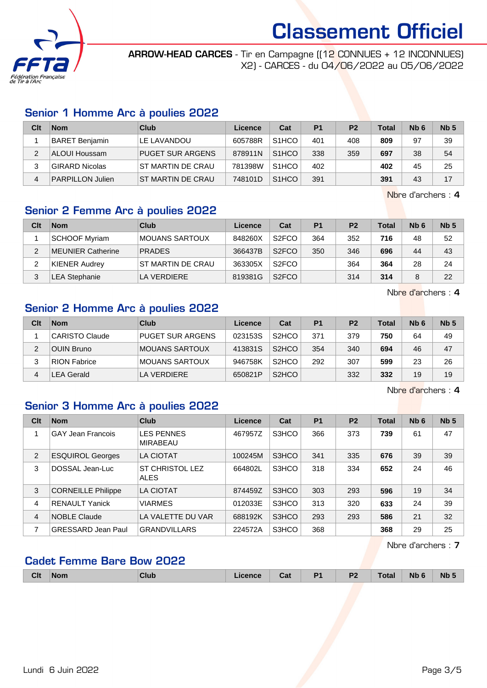

ARROW-HEAD CARCES - Tir en Campagne ((12 CONNUES + 12 INCONNUES) X2) - CARCES - du 04/06/2022 au 05/06/2022

#### Senior 1 Homme Arc à poulies 2022

| Clt | <b>Nom</b>              | Club                    | Licence | Cat                | P <sub>1</sub> | P <sub>2</sub> | <b>Total</b> | N <sub>b</sub> 6 | Nb <sub>5</sub> |
|-----|-------------------------|-------------------------|---------|--------------------|----------------|----------------|--------------|------------------|-----------------|
|     | <b>BARET Benjamin</b>   | LE LAVANDOU             | 605788R | S <sub>1</sub> HCO | 401            | 408            | 809          | 97               | 39              |
|     | ALOUI Houssam           | <b>PUGET SUR ARGENS</b> | 878911N | S <sub>1</sub> HCO | 338            | 359            | 697          | 38               | 54              |
|     | <b>GIRARD Nicolas</b>   | ST MARTIN DE CRAU       | 781398W | S <sub>1</sub> HCO | 402            |                | 402          | 45               | 25              |
| 4   | <b>PARPILLON Julien</b> | ST MARTIN DE CRAU       | 748101D | S <sub>1</sub> HCO | 391            |                | 391          | 43               | 17              |

Nbre d'archers : 4

#### Senior 2 Femme Arc à poulies 2022

| Clt | <b>Nom</b>               | Club              | Licence | Cat                | P1  | P <sub>2</sub> | Total | N <sub>b</sub> 6 | Nb <sub>5</sub> |
|-----|--------------------------|-------------------|---------|--------------------|-----|----------------|-------|------------------|-----------------|
|     | <b>SCHOOF Myriam</b>     | MOUANS SARTOUX    | 848260X | S <sub>2</sub> FCO | 364 | 352            | 716   | 48               | 52              |
| ົ   | <b>MEUNIER Catherine</b> | <b>PRADES</b>     | 366437B | S <sub>2</sub> FCO | 350 | 346            | 696   | 44               | 43              |
| っ   | <b>KIENER Audrey</b>     | ST MARTIN DE CRAU | 363305X | S <sub>2</sub> FCO |     | 364            | 364   | 28               | 24              |
|     | LEA Stephanie            | LA VERDIERE       | 819381G | S <sub>2</sub> FCO |     | 314            | 314   | 8                | 22              |

Nbre d'archers : 4

#### Senior 2 Homme Arc à poulies 2022

| Clt | <b>Nom</b>            | Club                    | Licence | Cat                | P <sub>1</sub> | P <sub>2</sub> | Total | N <sub>b</sub> 6 | Nb <sub>5</sub> |
|-----|-----------------------|-------------------------|---------|--------------------|----------------|----------------|-------|------------------|-----------------|
|     | <b>CARISTO Claude</b> | <b>PUGET SUR ARGENS</b> | 023153S | S <sub>2</sub> HCO | 371            | 379            | 750   | 64               | 49              |
| っ   | OUIN Bruno            | <b>MOUANS SARTOUX</b>   | 413831S | S <sub>2</sub> HCO | 354            | 340            | 694   | 46               | 47              |
| 3   | <b>RION Fabrice</b>   | <b>MOUANS SARTOUX</b>   | 946758K | S <sub>2</sub> HCO | 292            | 307            | 599   | 23               | 26              |
| 4   | <b>LEA Gerald</b>     | LA VERDIERE             | 650821P | S <sub>2</sub> HCO |                | 332            | 332   | 19               | 19              |

Nbre d'archers : 4

#### Senior 3 Homme Arc à poulies 2022

| Clt            | <b>Nom</b>                | Club                                  | Licence | Cat   | P <sub>1</sub> | P <sub>2</sub> | <b>Total</b> | Nb <sub>6</sub> | Nb <sub>5</sub> |
|----------------|---------------------------|---------------------------------------|---------|-------|----------------|----------------|--------------|-----------------|-----------------|
|                | <b>GAY Jean Francois</b>  | <b>LES PENNES</b><br>MIRABEAU         | 467957Z | S3HCO | 366            | 373            | 739          | 61              | 47              |
| 2              | <b>ESQUIROL Georges</b>   | LA CIOTAT                             | 100245M | S3HCO | 341            | 335            | 676          | 39              | 39              |
| 3              | DOSSAL Jean-Luc           | <b>ST CHRISTOL LEZ</b><br><b>ALES</b> | 664802L | S3HCO | 318            | 334            | 652          | 24              | 46              |
| 3              | <b>CORNEILLE Philippe</b> | <b>LA CIOTAT</b>                      | 874459Z | S3HCO | 303            | 293            | 596          | 19              | 34              |
| $\overline{4}$ | <b>RENAULT Yanick</b>     | <b>VIARMES</b>                        | 012033E | S3HCO | 313            | 320            | 633          | 24              | 39              |
| 4              | <b>NOBLE Claude</b>       | LA VALETTE DU VAR                     | 688192K | S3HCO | 293            | 293            | 586          | 21              | 32              |
| 7              | <b>GRESSARD Jean Paul</b> | <b>GRANDVILLARS</b>                   | 224572A | S3HCO | 368            |                | 368          | 29              | 25              |

Nbre d'archers : 7

#### Cadet Femme Bare Bow 2022

| <b>Clt</b> | <b>Nom</b><br>------ | <b>Club</b> | Licence | ual | D/<br>. . | D.<br>. . | Total | <b>Nb</b> | <b>Nb</b> |
|------------|----------------------|-------------|---------|-----|-----------|-----------|-------|-----------|-----------|
|            |                      |             |         |     |           |           |       |           |           |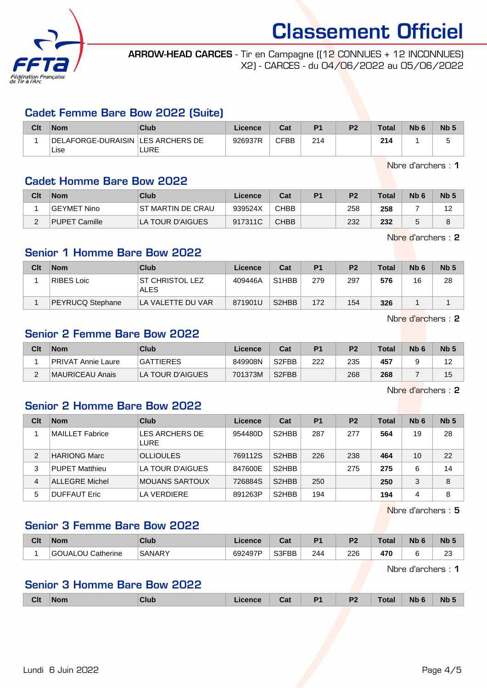

ARROW-HEAD CARCES - Tir en Campagne ((12 CONNUES + 12 INCONNUES) X2) - CARCES - du 04/06/2022 au 05/06/2022

#### Cadet Femme Bare Bow 2022 (Suite)

| Clt | <b>Nom</b>                          | Club | Licence | Cat  | P1  | P2 | <b>Total</b> | Nb <sub>6</sub> | Nb <sub>5</sub> |
|-----|-------------------------------------|------|---------|------|-----|----|--------------|-----------------|-----------------|
|     | DELAFORGE-DURAISIN   LES ARCHERS DE |      | 926937R | CFBB | 214 |    | 214          |                 |                 |
|     | Lise                                | LURE |         |      |     |    |              |                 |                 |

Nbre d'archers : 1

#### Cadet Homme Bare Bow 2022

| Clt | <b>Nom</b>         | Club              | Licence | Cat         | P <sub>1</sub> | P <sub>2</sub> | Total | N <sub>b</sub> 6 | Nb <sub>5</sub> |
|-----|--------------------|-------------------|---------|-------------|----------------|----------------|-------|------------------|-----------------|
|     | <b>GEYMET Nino</b> | ST MARTIN DE CRAU | 939524X | <b>CHBB</b> |                | 258            | 258   |                  | م 4             |
|     | PUPET Camille      | LA TOUR D'AIGUES  | 917311C | <b>CHBB</b> |                | 232            | 232   |                  | O               |

Nbre d'archers : 2

#### Senior 1 Homme Bare Bow 2022

| Clt | <b>Nom</b>       | Club                                  | Licence | Cat                | P <sub>1</sub> | P <sub>2</sub> | <b>Total</b> | N <sub>b</sub> 6 | Nb <sub>5</sub> |
|-----|------------------|---------------------------------------|---------|--------------------|----------------|----------------|--------------|------------------|-----------------|
|     | RIBES Loic       | <b>ST CHRISTOL LEZ</b><br><b>ALES</b> | 409446A | S <sub>1</sub> HBB | 279            | 297            | 576          | 16               | 28              |
|     | PEYRUCQ Stephane | LA VALETTE DU VAR                     | 871901U | S <sub>2</sub> HBB | 172            | 154            | 326          |                  |                 |

Nbre d'archers : 2

#### Senior 2 Femme Bare Bow 2022

| Clt | <b>Nom</b>         | Club             | Licence | Cat                | P <sub>1</sub> | P <sub>2</sub> | <b>Total</b> | N <sub>b</sub> 6 | Nb <sub>3</sub> |
|-----|--------------------|------------------|---------|--------------------|----------------|----------------|--------------|------------------|-----------------|
|     | PRIVAT Annie Laure | <b>GATTIERES</b> | 849908N | S <sub>2</sub> FBB | 222            | 235            | 457          |                  | -               |
| -   | MAURICEAU Anais    | LA TOUR D'AIGUES | 701373M | S <sub>2</sub> FBB |                | 268            | 268          |                  | 15              |

Nhre d'archers : 2

#### Senior 2 Homme Bare Bow 2022

| Clt | <b>Nom</b>            | Club                          | Licence | Cat                            | P <sub>1</sub> | P <sub>2</sub> | Total | Nb <sub>6</sub> | Nb <sub>5</sub> |
|-----|-----------------------|-------------------------------|---------|--------------------------------|----------------|----------------|-------|-----------------|-----------------|
|     | MAILLET Fabrice       | LES ARCHERS DE<br><b>LURE</b> | 954480D | S <sub>2</sub> HBB             | 287            | 277            | 564   | 19              | 28              |
| 2   | HARIONG Marc          | <b>OLLIOULES</b>              | 769112S | S <sub>2</sub> H <sub>BB</sub> | 226            | 238            | 464   | 10              | 22              |
| 3   | <b>PUPET Matthieu</b> | LA TOUR D'AIGUES              | 847600E | S <sub>2</sub> HBB             |                | 275            | 275   | 6               | 14              |
| 4   | <b>ALLEGRE Michel</b> | MOUANS SARTOUX                | 726884S | S <sub>2</sub> H <sub>BB</sub> | 250            |                | 250   | 3               | 8               |
| 5   | <b>DUFFAUT Eric</b>   | LA VERDIERE                   | 891263P | S <sub>2</sub> H <sub>BB</sub> | 194            |                | 194   | 4               | 8               |

Nbre d'archers : 5

#### Senior 3 Femme Bare Bow 2022

| Clt | <b>Nom</b>        | Club          | icence  | יי<br>va. | D.  | D <sub>2</sub> | <b>Total</b> | Nb | N <sub>b</sub> <sub>5</sub> |
|-----|-------------------|---------------|---------|-----------|-----|----------------|--------------|----|-----------------------------|
|     | GOUALOU Catherine | <b>SANARY</b> | 692497P | S3FBB     | 244 | 226            | 470          |    | $\sim$<br><u>L</u>          |

Nbre d'archers : 1

#### Senior 3 Homme Bare Bow 2022

| <b>Clt</b> | <b>Nom</b> | _____ | ual | D <sub>4</sub> | D'<br>-- | `otal | <b>Nb</b> | <b>Nb</b> |
|------------|------------|-------|-----|----------------|----------|-------|-----------|-----------|
|            |            |       |     |                |          |       |           |           |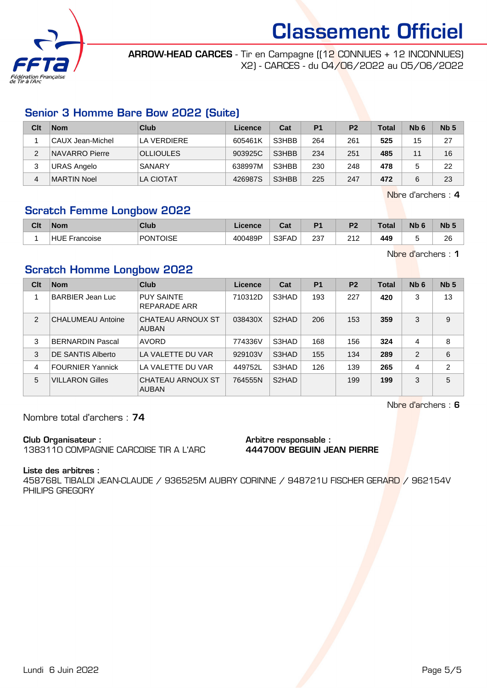

ARROW-HEAD CARCES - Tir en Campagne ((12 CONNUES + 12 INCONNUES) X2) - CARCES - du 04/06/2022 au 05/06/2022

#### Senior 3 Homme Bare Bow 2022 (Suite)

| Clt | <b>Nom</b>         | Club             | Licence | Cat   | P <sub>1</sub> | P <sub>2</sub> | <b>Total</b> | N <sub>b</sub> 6 | Nb <sub>5</sub> |
|-----|--------------------|------------------|---------|-------|----------------|----------------|--------------|------------------|-----------------|
|     | ∣CAUX Jean-Michel  | LA VERDIERE      | 605461K | S3HBB | 264            | 261            | 525          | 15               | 27              |
| 2   | NAVARRO Pierre     | <b>OLLIOULES</b> | 903925C | S3HBB | 234            | 251            | 485          | 11               | 16              |
|     | <b>URAS Angelo</b> | SANARY           | 638997M | S3HBB | 230            | 248            | 478          |                  | 22              |
| 4   | MARTIN Noel        | <b>LA CIOTAT</b> | 426987S | S3HBB | 225            | 247            | 472          |                  | 23              |

Nbre d'archers : 4

#### Scratch Femme Longbow 2022

| Clt | <b>Nom</b>              | Club            | Licence | ◠∼<br>⊍a | D <sub>4</sub> | D <sub>2</sub>  | Total | <b>Nb</b> | N <sub>b</sub> 5 |
|-----|-------------------------|-----------------|---------|----------|----------------|-----------------|-------|-----------|------------------|
|     | <b>HUE</b><br>Francoise | <b>PONTOISE</b> | 400489P | S3FAD    | ດດອ<br>دے      | 242<br><u>.</u> | 449   |           | 26               |

Nbre d'archers : 1

#### Scratch Homme Longbow 2022

| Clt | <b>Nom</b>               | Club                              | Licence | Cat                | P <sub>1</sub> | P <sub>2</sub> | <b>Total</b> | Nb <sub>6</sub> | Nb <sub>5</sub> |
|-----|--------------------------|-----------------------------------|---------|--------------------|----------------|----------------|--------------|-----------------|-----------------|
|     | <b>BARBIER Jean Luc</b>  | <b>PUY SAINTE</b><br>REPARADE ARR | 710312D | S3HAD              | 193            | 227            | 420          | 3               | 13              |
| 2   | <b>CHALUMEAU Antoine</b> | CHATEAU ARNOUX ST<br><b>AUBAN</b> | 038430X | S <sub>2</sub> HAD | 206            | 153            | 359          | 3               | 9               |
| 3   | <b>BERNARDIN Pascal</b>  | <b>AVORD</b>                      | 774336V | S3HAD              | 168            | 156            | 324          | $\overline{4}$  | 8               |
| 3   | DE SANTIS Alberto        | LA VALETTE DU VAR                 | 929103V | S3HAD              | 155            | 134            | 289          | $\mathfrak{p}$  | 6               |
| 4   | <b>FOURNIER Yannick</b>  | LA VALETTE DU VAR                 | 449752L | S3HAD              | 126            | 139            | 265          | 4               | 2               |
| 5   | <b>VILLARON Gilles</b>   | CHATEAU ARNOUX ST<br><b>AUBAN</b> | 764555N | S2HAD              |                | 199            | 199          | 3               | 5               |

Nbre d'archers : 6

Nombre total d'archers : 74

#### Club Organisateur :

1383110 COMPAGNIE CARCOISE TIR A L'ARC

#### Arbitre responsable : 444700V BEGUIN JEAN PIERRE

Liste des arbitres :

458768L TIBALDI JEAN-CLAUDE / 936525M AUBRY CORINNE / 948721U FISCHER GERARD / 962154V PHILIPS GREGORY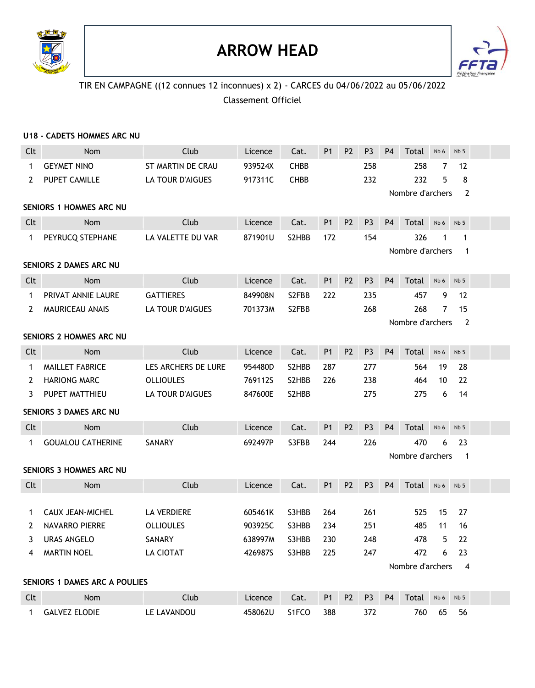

### **ARROW HEAD**



#### TIR EN CAMPAGNE ((12 connues 12 inconnues) x 2) - CARCES du 04/06/2022 au 05/06/2022 Classement Officiel

|              | U18 - CADETS HOMMES ARC NU           |                     |         |             |                |                |                |                |                  |                 |                 |  |
|--------------|--------------------------------------|---------------------|---------|-------------|----------------|----------------|----------------|----------------|------------------|-----------------|-----------------|--|
| Clt          | <b>Nom</b>                           | Club                | Licence | Cat.        | <b>P1</b>      | P <sub>2</sub> | P <sub>3</sub> | P <sub>4</sub> | Total            | Nb 6            | Nb <sub>5</sub> |  |
| $\mathbf 1$  | <b>GEYMET NINO</b>                   | ST MARTIN DE CRAU   | 939524X | <b>CHBB</b> |                |                | 258            |                | 258              | 7               | 12              |  |
| 2            | <b>PUPET CAMILLE</b>                 | LA TOUR D'AIGUES    | 917311C | <b>CHBB</b> |                |                | 232            |                | 232              | 5               | 8               |  |
|              |                                      |                     |         |             |                |                |                |                | Nombre d'archers |                 | 2               |  |
|              | <b>SENIORS 1 HOMMES ARC NU</b>       |                     |         |             |                |                |                |                |                  |                 |                 |  |
| Clt          | Nom                                  | Club                | Licence | Cat.        | P <sub>1</sub> | P <sub>2</sub> | P <sub>3</sub> | <b>P4</b>      | Total            | Nb <sub>6</sub> | Nb <sub>5</sub> |  |
| $\mathbf{1}$ | PEYRUCQ STEPHANE                     | LA VALETTE DU VAR   | 871901U | S2HBB       | 172            |                | 154            |                | 326              | 1               | 1               |  |
|              |                                      |                     |         |             |                |                |                |                | Nombre d'archers |                 | $\mathbf 1$     |  |
|              | SENIORS 2 DAMES ARC NU               |                     |         |             |                |                |                |                |                  |                 |                 |  |
| Clt          | Nom                                  | Club                | Licence | Cat.        | P <sub>1</sub> | P <sub>2</sub> | P <sub>3</sub> | P <sub>4</sub> | Total            | Nb 6            | Nb <sub>5</sub> |  |
| $\mathbf{1}$ | PRIVAT ANNIE LAURE                   | <b>GATTIERES</b>    | 849908N | S2FBB       | 222            |                | 235            |                | 457              | 9               | 12              |  |
| 2            | <b>MAURICEAU ANAIS</b>               | LA TOUR D'AIGUES    | 701373M | S2FBB       |                |                | 268            |                | 268              | 7               | 15              |  |
|              |                                      |                     |         |             |                |                |                |                | Nombre d'archers |                 | 2               |  |
|              | <b>SENIORS 2 HOMMES ARC NU</b>       |                     |         |             |                |                |                |                |                  |                 |                 |  |
| Clt          | <b>Nom</b>                           | Club                | Licence | Cat.        | <b>P1</b>      | P <sub>2</sub> | P <sub>3</sub> | <b>P4</b>      | Total            | Nb 6            | Nb <sub>5</sub> |  |
| 1            | <b>MAILLET FABRICE</b>               | LES ARCHERS DE LURE | 954480D | S2HBB       | 287            |                | 277            |                | 564              | 19              | 28              |  |
| 2            | <b>HARIONG MARC</b>                  | <b>OLLIOULES</b>    | 769112S | S2HBB       | 226            |                | 238            |                | 464              | 10              | 22              |  |
| 3            | PUPET MATTHIEU                       | LA TOUR D'AIGUES    | 847600E | S2HBB       |                |                | 275            |                | 275              | 6               | 14              |  |
|              | <b>SENIORS 3 DAMES ARC NU</b>        |                     |         |             |                |                |                |                |                  |                 |                 |  |
| Clt          | Nom                                  | Club                | Licence | Cat.        | <b>P1</b>      | P <sub>2</sub> | P <sub>3</sub> | <b>P4</b>      | Total            | Nb 6            | Nb <sub>5</sub> |  |
| $\mathbf 1$  | <b>GOUALOU CATHERINE</b>             | SANARY              | 692497P | S3FBB       | 244            |                | 226            |                | 470              | 6               | 23              |  |
|              |                                      |                     |         |             |                |                |                |                | Nombre d'archers |                 | $\mathbf 1$     |  |
|              | SENIORS 3 HOMMES ARC NU              |                     |         |             |                |                |                |                |                  |                 |                 |  |
| Clt          | Nom                                  | Club                | Licence | Cat.        | <b>P1</b>      | P <sub>2</sub> | P <sub>3</sub> | P <sub>4</sub> | Total            | Nb 6            | Nb <sub>5</sub> |  |
|              |                                      |                     |         |             |                |                |                |                |                  |                 |                 |  |
| 1            | CAUX JEAN-MICHEL                     | LA VERDIERE         | 605461K | S3HBB       | 264            |                | 261            |                | 525              | 15              | 27              |  |
| 2            | NAVARRO PIERRE                       | <b>OLLIOULES</b>    | 903925C | S3HBB       | 234            |                | 251            |                | 485              | 11              | 16              |  |
| 3            | <b>URAS ANGELO</b>                   | SANARY              | 638997M | S3HBB       | 230            |                | 248            |                | 478              | 5               | 22              |  |
| 4            | <b>MARTIN NOEL</b>                   | LA CIOTAT           | 426987S | S3HBB       | 225            |                | 247            |                | 472              | 6               | 23              |  |
|              |                                      |                     |         |             |                |                |                |                | Nombre d'archers |                 | 4               |  |
|              | <b>SENIORS 1 DAMES ARC A POULIES</b> |                     |         |             |                |                |                |                |                  |                 |                 |  |
| Clt          |                                      |                     |         |             |                |                |                |                |                  |                 |                 |  |
|              | Nom                                  | Club                | Licence | Cat.        | P1             | P <sub>2</sub> | P <sub>3</sub> | P <sub>4</sub> | Total            | Nb 6            | Nb <sub>5</sub> |  |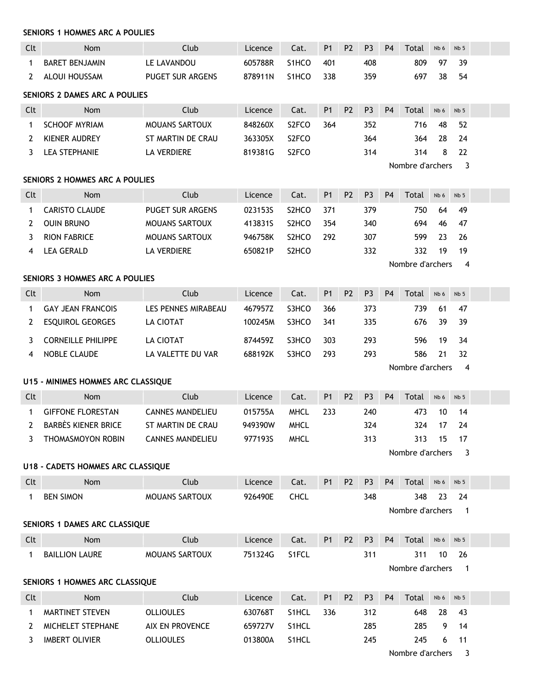| <b>SENIORS 1 HOMMES ARC A POULIES</b> |  |  |  |  |
|---------------------------------------|--|--|--|--|
|---------------------------------------|--|--|--|--|

| Clt          | Nom                                   | Club                    | Licence | Cat.               | P1             | P <sub>2</sub> | P <sub>3</sub> | P <sub>4</sub> | Total            | Nb 6 | Nb <sub>5</sub>          |  |
|--------------|---------------------------------------|-------------------------|---------|--------------------|----------------|----------------|----------------|----------------|------------------|------|--------------------------|--|
| $\mathbf 1$  | <b>BARET BENJAMIN</b>                 | LE LAVANDOU             | 605788R | S1HCO              | 401            |                | 408            |                | 809              | 97   | 39                       |  |
| 2            | ALOUI HOUSSAM                         | PUGET SUR ARGENS        | 878911N | S1HCO              | 338            |                | 359            |                | 697              | 38   | 54                       |  |
|              | SENIORS 2 DAMES ARC A POULIES         |                         |         |                    |                |                |                |                |                  |      |                          |  |
| Clt          | <b>Nom</b>                            | Club                    | Licence | Cat.               | <b>P1</b>      | P <sub>2</sub> | P <sub>3</sub> | <b>P4</b>      | Total            | Nb 6 | Nb <sub>5</sub>          |  |
| 1            | <b>SCHOOF MYRIAM</b>                  | <b>MOUANS SARTOUX</b>   | 848260X | S2FCO              | 364            |                | 352            |                | 716              | 48   | 52                       |  |
| 2            | <b>KIENER AUDREY</b>                  | ST MARTIN DE CRAU       | 363305X | S <sub>2</sub> FCO |                |                | 364            |                | 364              | 28   | 24                       |  |
| 3            | <b>LEA STEPHANIE</b>                  | <b>LA VERDIERE</b>      | 819381G | S <sub>2</sub> FCO |                |                | 314            |                | 314              | 8    | 22                       |  |
|              |                                       |                         |         |                    |                |                |                |                | Nombre d'archers |      | 3                        |  |
|              | <b>SENIORS 2 HOMMES ARC A POULIES</b> |                         |         |                    |                |                |                |                |                  |      |                          |  |
| Clt          | Nom                                   | Club                    | Licence | Cat.               | P <sub>1</sub> | P <sub>2</sub> | P <sub>3</sub> | <b>P4</b>      | Total            | Nb 6 | Nb <sub>5</sub>          |  |
| 1            | <b>CARISTO CLAUDE</b>                 | <b>PUGET SUR ARGENS</b> | 023153S | S2HCO              | 371            |                | 379            |                | 750              | 64   | 49                       |  |
| 2            | <b>OUIN BRUNO</b>                     | MOUANS SARTOUX          | 413831S | S <sub>2</sub> HCO | 354            |                | 340            |                | 694              | 46   | 47                       |  |
| 3            | <b>RION FABRICE</b>                   | <b>MOUANS SARTOUX</b>   | 946758K | S <sub>2</sub> HCO | 292            |                | 307            |                | 599              | 23   | 26                       |  |
| 4            | <b>LEA GERALD</b>                     | <b>LA VERDIERE</b>      | 650821P | S <sub>2</sub> HCO |                |                | 332            |                | 332              | 19   | 19                       |  |
|              | <b>SENIORS 3 HOMMES ARC A POULIES</b> |                         |         |                    |                |                |                |                | Nombre d'archers |      | 4                        |  |
| Clt          | <b>Nom</b>                            | Club                    | Licence | Cat.               | P <sub>1</sub> | P <sub>2</sub> | P <sub>3</sub> | <b>P4</b>      | Total            | Nb 6 | Nb <sub>5</sub>          |  |
| 1            | <b>GAY JEAN FRANCOIS</b>              | LES PENNES MIRABEAU     | 467957Z | S3HCO              | 366            |                | 373            |                | 739              | 61   | 47                       |  |
| 2            | <b>ESQUIROL GEORGES</b>               | LA CIOTAT               | 100245M | S3HCO              | 341            |                | 335            |                | 676              | 39   | 39                       |  |
| 3            | <b>CORNEILLE PHILIPPE</b>             | LA CIOTAT               | 874459Z | S3HCO              | 303            |                | 293            |                | 596              | 19   | 34                       |  |
| 4            | NOBLE CLAUDE                          | LA VALETTE DU VAR       | 688192K | S3HCO              | 293            |                | 293            |                | 586              | 21   | 32                       |  |
|              |                                       |                         |         |                    |                |                |                |                | Nombre d'archers |      | 4                        |  |
|              | U15 - MINIMES HOMMES ARC CLASSIQUE    |                         |         |                    |                |                |                |                |                  |      |                          |  |
| Clt          | Nom                                   | Club                    | Licence | Cat.               | P <sub>1</sub> | P <sub>2</sub> | P <sub>3</sub> | P <sub>4</sub> | Total            | Nb 6 | Nb <sub>5</sub>          |  |
| $\mathbf 1$  | <b>GIFFONE FLORESTAN</b>              | <b>CANNES MANDELIEU</b> | 015755A | <b>MHCL</b>        | 233            |                | 240            |                | 473              | 10   | 14                       |  |
| $\mathbf{2}$ | <b>BARBES KIENER BRICE</b>            | ST MARTIN DE CRAU       | 949390W | <b>MHCL</b>        |                |                | 324            |                | 324              | 17   | 24                       |  |
| 3            | <b>THOMASMOYON ROBIN</b>              | <b>CANNES MANDELIEU</b> | 977193S | <b>MHCL</b>        |                |                | 313            |                | 313              | 15   | 17                       |  |
|              |                                       |                         |         |                    |                |                |                |                | Nombre d'archers |      | 3                        |  |
|              | U18 - CADETS HOMMES ARC CLASSIQUE     |                         |         |                    |                |                |                |                |                  |      |                          |  |
| Clt          | <b>Nom</b>                            | Club                    | Licence | Cat.               | <b>P1</b>      | <b>P2</b>      | P <sub>3</sub> | P <sub>4</sub> | Total            | Nb 6 | Nb <sub>5</sub>          |  |
| $\mathbf{1}$ | <b>BEN SIMON</b>                      | MOUANS SARTOUX          | 926490E | <b>CHCL</b>        |                |                | 348            |                | 348              | 23   | 24                       |  |
|              |                                       |                         |         |                    |                |                |                |                | Nombre d'archers |      | $\overline{1}$           |  |
|              | SENIORS 1 DAMES ARC CLASSIQUE         |                         |         |                    |                |                |                |                |                  |      |                          |  |
| Clt          | Nom                                   | Club                    | Licence | Cat.               | <b>P1</b>      | P <sub>2</sub> | P <sub>3</sub> | P <sub>4</sub> | Total            | Nb 6 | Nb <sub>5</sub>          |  |
| $\mathbf{1}$ | <b>BAILLION LAURE</b>                 | MOUANS SARTOUX          | 751324G | S1FCL              |                |                | 311            |                | 311              | 10   | 26                       |  |
|              | SENIORS 1 HOMMES ARC CLASSIQUE        |                         |         |                    |                |                |                |                | Nombre d'archers |      | $\overline{1}$           |  |
| Clt          | Nom                                   | Club                    | Licence | Cat.               | P <sub>1</sub> | P <sub>2</sub> | P <sub>3</sub> | P <sub>4</sub> | Total            | Nb 6 | Nb <sub>5</sub>          |  |
| 1            | MARTINET STEVEN                       | <b>OLLIOULES</b>        | 630768T | S1HCL              | 336            |                | 312            |                | 648              | 28   | 43                       |  |
| 2            | MICHELET STEPHANE                     | AIX EN PROVENCE         | 659727V | S1HCL              |                |                | 285            |                | 285              | 9    | 14                       |  |
| 3            | <b>IMBERT OLIVIER</b>                 | <b>OLLIOULES</b>        | 013800A | S1HCL              |                |                | 245            |                | 245              | 6    | 11                       |  |
|              |                                       |                         |         |                    |                |                |                |                | Nombre d'archers |      | $\overline{\phantom{a}}$ |  |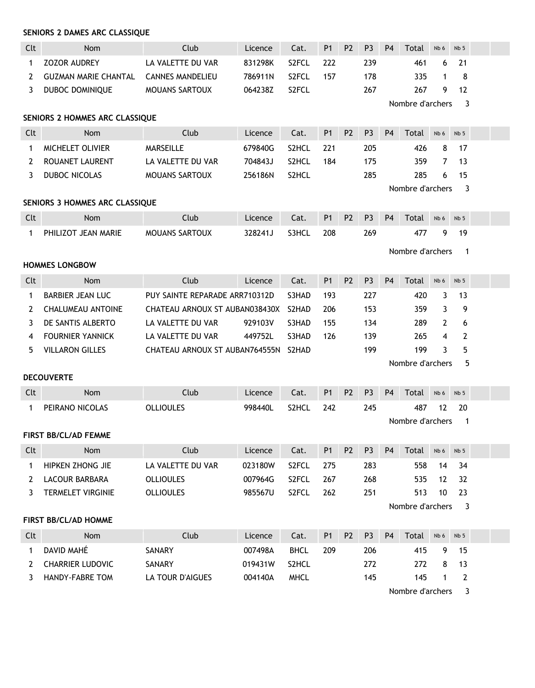| Clt | <b>Nom</b>                     | Club                           | Licence | Cat.               | P <sub>1</sub> | <b>P2</b>      | P <sub>3</sub> | P <sub>4</sub> | Total            | Nb 6         | Nb <sub>5</sub> |  |
|-----|--------------------------------|--------------------------------|---------|--------------------|----------------|----------------|----------------|----------------|------------------|--------------|-----------------|--|
| 1   | <b>ZOZOR AUDREY</b>            | LA VALETTE DU VAR              | 831298K | S2FCL              | 222            |                | 239            |                | 461              | 6            | 21              |  |
| 2   | <b>GUZMAN MARIE CHANTAL</b>    | <b>CANNES MANDELIEU</b>        | 786911N | S <sub>2</sub> FCL | 157            |                | 178            |                | 335              | 1            | 8               |  |
| 3   | DUBOC DOMINIQUE                | <b>MOUANS SARTOUX</b>          | 064238Z | S <sub>2</sub> FCL |                |                | 267            |                | 267              | 9            | 12              |  |
|     |                                |                                |         |                    |                |                |                |                | Nombre d'archers |              | 3               |  |
|     | SENIORS 2 HOMMES ARC CLASSIQUE |                                |         |                    |                |                |                |                |                  |              |                 |  |
| Clt | <b>Nom</b>                     | Club                           | Licence | Cat.               | P <sub>1</sub> | P <sub>2</sub> | P <sub>3</sub> | <b>P4</b>      | Total            | Nb 6         | Nb <sub>5</sub> |  |
| 1   | MICHELET OLIVIER               | <b>MARSEILLE</b>               | 679840G | S <sub>2</sub> HCL | 221            |                | 205            |                | 426              | 8            | 17              |  |
| 2   | <b>ROUANET LAURENT</b>         | LA VALETTE DU VAR              | 704843J | S2HCL              | 184            |                | 175            |                | 359              | 7            | 13              |  |
| 3   | DUBOC NICOLAS                  | MOUANS SARTOUX                 | 256186N | S2HCL              |                |                | 285            |                | 285              | 6            | 15              |  |
|     |                                |                                |         |                    |                |                |                |                | Nombre d'archers |              | 3               |  |
|     | SENIORS 3 HOMMES ARC CLASSIQUE |                                |         |                    |                |                |                |                |                  |              |                 |  |
| Clt | <b>Nom</b>                     | Club                           | Licence | Cat.               | P <sub>1</sub> | <b>P2</b>      | P <sub>3</sub> | P <sub>4</sub> | Total            | Nb 6         | Nb <sub>5</sub> |  |
| 1   | PHILIZOT JEAN MARIE            | <b>MOUANS SARTOUX</b>          | 328241J | S3HCL              | 208            |                | 269            |                | 477              | 9            | 19              |  |
|     |                                |                                |         |                    |                |                |                |                | Nombre d'archers |              | $\mathbf{1}$    |  |
|     | <b>HOMMES LONGBOW</b>          |                                |         |                    |                |                |                |                |                  |              |                 |  |
| Clt | <b>Nom</b>                     | Club                           | Licence | Cat.               | <b>P1</b>      | P <sub>2</sub> | P <sub>3</sub> | <b>P4</b>      | Total            | Nb 6         | Nb <sub>5</sub> |  |
| 1   | <b>BARBIER JEAN LUC</b>        | PUY SAINTE REPARADE ARR710312D |         | S3HAD              | 193            |                | 227            |                | 420              | 3            | 13              |  |
| 2   | <b>CHALUMEAU ANTOINE</b>       | CHATEAU ARNOUX ST AUBAN038430X |         | S2HAD              | 206            |                | 153            |                | 359              | 3            | 9               |  |
| 3   | DE SANTIS ALBERTO              | LA VALETTE DU VAR              | 929103V | S3HAD              | 155            |                | 134            |                | 289              | 2            | 6               |  |
| 4   | <b>FOURNIER YANNICK</b>        | LA VALETTE DU VAR              | 449752L | S3HAD              | 126            |                | 139            |                | 265              | 4            | $\overline{2}$  |  |
| 5   | <b>VILLARON GILLES</b>         | CHATEAU ARNOUX ST AUBAN764555N |         | S2HAD              |                |                | 199            |                | 199              | 3            | 5               |  |
|     |                                |                                |         |                    |                |                |                |                | Nombre d'archers |              | 5               |  |
|     | <b>DECOUVERTE</b>              |                                |         |                    |                |                |                |                |                  |              |                 |  |
| Clt | Nom                            | Club                           | Licence | Cat.               | <b>P1</b>      | <b>P2</b>      | P <sub>3</sub> | P <sub>4</sub> | Total            | Nb 6         | Nb <sub>5</sub> |  |
| 1   | PEIRANO NICOLAS                | <b>OLLIOULES</b>               | 998440L | S2HCL              | 242            |                | 245            |                | 487              | 12           | 20              |  |
|     |                                |                                |         |                    |                |                |                |                | Nombre d'archers |              | -1              |  |
|     | <b>FIRST BB/CL/AD FEMME</b>    |                                |         |                    |                |                |                |                |                  |              |                 |  |
| Clt | Nom                            | Club                           | Licence | Cat.               | P <sub>1</sub> | P <sub>2</sub> | P <sub>3</sub> | P <sub>4</sub> | Total            | Nb 6         | Nb <sub>5</sub> |  |
| 1   | HIPKEN ZHONG JIE               | LA VALETTE DU VAR              | 023180W | S2FCL              | 275            |                | 283            |                | 558              | 14           | 34              |  |
| 2   | LACOUR BARBARA                 | <b>OLLIOULES</b>               | 007964G | S2FCL              | 267            |                | 268            |                | 535              | 12           | 32              |  |
| 3   | <b>TERMELET VIRGINIE</b>       | <b>OLLIOULES</b>               | 985567U | S2FCL              | 262            |                | 251            |                | 513              | 10           | 23              |  |
|     |                                |                                |         |                    |                |                |                |                | Nombre d'archers |              | 3               |  |
|     | FIRST BB/CL/AD HOMME           |                                |         |                    |                |                |                |                |                  |              |                 |  |
| Clt | Nom                            | Club                           | Licence | Cat.               | P <sub>1</sub> | P <sub>2</sub> | P <sub>3</sub> | P <sub>4</sub> | Total            | Nb 6         | Nb <sub>5</sub> |  |
| 1   | DAVID MAHÉ                     | SANARY                         | 007498A | <b>BHCL</b>        | 209            |                | 206            |                | 415              | 9            | 15              |  |
| 2   | <b>CHARRIER LUDOVIC</b>        | SANARY                         | 019431W | S2HCL              |                |                | 272            |                | 272              | 8            | 13              |  |
| 3   | HANDY-FABRE TOM                | LA TOUR D'AIGUES               | 004140A | <b>MHCL</b>        |                |                | 145            |                | 145              | $\mathbf{1}$ | $\overline{2}$  |  |
|     |                                |                                |         |                    |                |                |                |                | Nombre d'archers |              | 3               |  |